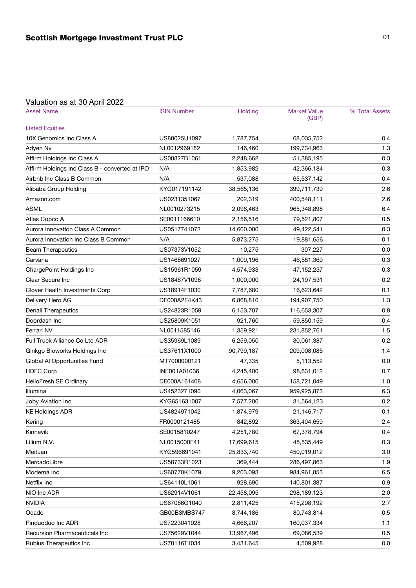## Valuation as at 30 April 2022

| <b>Asset Name</b>                              | <b>ISIN Number</b> | Holding    | <b>Market Value</b><br>(GBP) | % Total Assets |
|------------------------------------------------|--------------------|------------|------------------------------|----------------|
| <b>Listed Equities</b>                         |                    |            |                              |                |
| 10X Genomics Inc Class A                       | US88025U1097       | 1,787,754  | 68,035,752                   | 0.4            |
| Adyen Nv                                       | NL0012969182       | 146,460    | 199,734,963                  | 1.3            |
| Affirm Holdings Inc Class A                    | US00827B1061       | 2,248,662  | 51,385,195                   | 0.3            |
| Affirm Holdings Inc Class B - converted at IPO | N/A                | 1,853,982  | 42,366,184                   | 0.3            |
| Airbnb Inc Class B Common                      | N/A                | 537,088    | 65,537,142                   | 0.4            |
| Alibaba Group Holding                          | KYG017191142       | 38,565,136 | 399,711,739                  | 2.6            |
| Amazon.com                                     | US0231351067       | 202,319    | 400,548,111                  | 2.6            |
| <b>ASML</b>                                    | NL0010273215       | 2,096,463  | 965,348,898                  | 6.4            |
| Atlas Copco A                                  | SE0011166610       | 2,156,516  | 79,521,807                   | 0.5            |
| Aurora Innovation Class A Common               | US0517741072       | 14,600,000 | 49,422,541                   | 0.3            |
| Aurora Innovation Inc Class B Common           | N/A                | 5,873,275  | 19,881,656                   | 0.1            |
| <b>Beam Therapeutics</b>                       | US07373V1052       | 10,275     | 307,227                      | 0.0            |
| Carvana                                        | US1468691027       | 1,009,196  | 46,581,369                   | 0.3            |
| ChargePoint Holdings Inc                       | US15961R1059       | 4,574,933  | 47, 152, 237                 | 0.3            |
| Clear Secure Inc                               | US18467V1098       | 1,000,000  | 24, 197, 531                 | 0.2            |
| Clover Health Investments Corp                 | US18914F1030       | 7,787,680  | 16,623,642                   | 0.1            |
| Delivery Hero AG                               | DE000A2E4K43       | 6,868,810  | 194,907,750                  | 1.3            |
| Denali Therapeutics                            | US24823R1059       | 6,153,707  | 116,653,307                  | 0.8            |
| Doordash Inc                                   | US25809K1051       | 921,760    | 59,850,159                   | 0.4            |
| Ferrari NV                                     | NL0011585146       | 1,359,921  | 231,852,761                  | 1.5            |
| Full Truck Alliance Co Ltd ADR                 | US35969L1089       | 6,259,050  | 30,061,387                   | 0.2            |
| Ginkgo Bioworks Holdings Inc                   | US37611X1000       | 90,799,187 | 209,008,085                  | 1.4            |
| Global Al Opportunities Fund                   | MT7000000121       | 47,335     | 5,113,552                    | 0.0            |
| <b>HDFC Corp</b>                               | INE001A01036       | 4,245,400  | 98,631,012                   | 0.7            |
| HelloFresh SE Ordinary                         | DE000A161408       | 4,656,000  | 158,721,049                  | 1.0            |
| Illumina                                       | US4523271090       | 4,063,067  | 959,925,873                  | 6.3            |
| Joby Aviation Inc                              | KYG651631007       | 7,577,200  | 31,564,123                   | 0.2            |
| <b>KE Holdings ADR</b>                         | US4824971042       | 1,874,979  | 21,146,717                   | 0.1            |
| Kering                                         | FR0000121485       | 842,892    | 363,404,659                  | 2.4            |
| Kinnevik                                       | SE0015810247       | 4,251,780  | 67,378,794                   | 0.4            |
| Lilium N.V.                                    | NL0015000F41       | 17,699,615 | 45,535,449                   | 0.3            |
| Meituan                                        | KYG596691041       | 25,833,740 | 450,019,012                  | 3.0            |
| MercadoLibre                                   | US58733R1023       | 369,444    | 286,497,863                  | 1.9            |
| Moderna Inc                                    | US60770K1079       | 9,203,093  | 984, 961, 853                | 6.5            |
| Netflix Inc                                    | US64110L1061       | 928,690    | 140,801,387                  | 0.9            |
| NIO Inc ADR                                    | US62914V1061       | 22,458,095 | 298,189,123                  | 2.0            |
| <b>NVIDIA</b>                                  | US67066G1040       | 2,811,425  | 415,298,192                  | 2.7            |
| Ocado                                          | GB00B3MBS747       | 8,744,186  | 80,743,814                   | 0.5            |
| Pinduoduo Inc ADR                              | US7223041028       | 4,666,207  | 160,037,334                  | 1.1            |
| Recursion Pharmaceuticals Inc                  | US75629V1044       | 13,967,496 | 69,086,539                   | 0.5            |
| Rubius Therapeutics Inc                        | US78116T1034       | 3,431,645  | 4,509,928                    | 0.0            |
|                                                |                    |            |                              |                |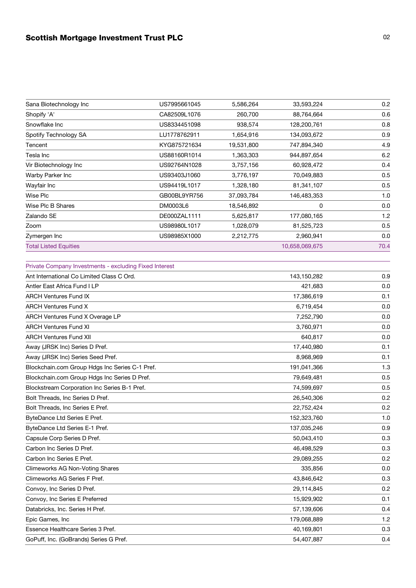## Scottish Mortgage Investment Trust PLC **CONTROLLER 1002** 02

| US7995661045 | 5,586,264  | 33,593,224     | 0.2  |
|--------------|------------|----------------|------|
| CA82509L1076 | 260,700    | 88,764,664     | 0.6  |
| US8334451098 | 938,574    | 128,200,761    | 0.8  |
| LU1778762911 | 1,654,916  | 134,093,672    | 0.9  |
| KYG875721634 | 19,531,800 | 747,894,340    | 4.9  |
| US88160R1014 | 1,363,303  | 944,897,654    | 6.2  |
| US92764N1028 | 3,757,156  | 60,928,472     | 0.4  |
| US93403J1060 | 3,776,197  | 70,049,883     | 0.5  |
| US94419L1017 | 1,328,180  | 81,341,107     | 0.5  |
| GB00BL9YR756 | 37,093,784 | 146,483,353    | 1.0  |
| DM0003L6     | 18,546,892 | 0              | 0.0  |
| DE000ZAL1111 | 5,625,817  | 177,080,165    | 1.2  |
| US98980L1017 | 1,028,079  | 81,525,723     | 0.5  |
| US98985X1000 | 2,212,775  | 2,960,941      | 0.0  |
|              |            | 10,658,069,675 | 70.4 |
|              |            |                |      |

| Private Company Investments - excluding Fixed Interest |  |
|--------------------------------------------------------|--|
|--------------------------------------------------------|--|

| Ant International Co Limited Class C Ord.      | 143,150,282 | 0.9 |
|------------------------------------------------|-------------|-----|
| Antler East Africa Fund I LP                   | 421,683     | 0.0 |
| <b>ARCH Ventures Fund IX</b>                   | 17,386,619  | 0.1 |
| <b>ARCH Ventures Fund X</b>                    | 6,719,454   | 0.0 |
| ARCH Ventures Fund X Overage LP                | 7,252,790   | 0.0 |
| <b>ARCH Ventures Fund XI</b>                   | 3,760,971   | 0.0 |
| <b>ARCH Ventures Fund XII</b>                  | 640,817     | 0.0 |
| Away (JRSK Inc) Series D Pref.                 | 17,440,980  | 0.1 |
| Away (JRSK Inc) Series Seed Pref.              | 8,968,969   | 0.1 |
| Blockchain.com Group Hdgs Inc Series C-1 Pref. | 191,041,366 | 1.3 |
| Blockchain.com Group Hdgs Inc Series D Pref.   | 79,649,481  | 0.5 |
| Blockstream Corporation Inc Series B-1 Pref.   | 74,599,697  | 0.5 |
| Bolt Threads, Inc Series D Pref.               | 26,540,306  | 0.2 |
| Bolt Threads, Inc Series E Pref.               | 22,752,424  | 0.2 |
| ByteDance Ltd Series E Pref.                   | 152,323,760 | 1.0 |
| ByteDance Ltd Series E-1 Pref.                 | 137,035,246 | 0.9 |
| Capsule Corp Series D Pref.                    | 50,043,410  | 0.3 |
| Carbon Inc Series D Pref.                      | 46,498,529  | 0.3 |
| Carbon Inc Series E Pref.                      | 29,089,255  | 0.2 |
| Climeworks AG Non-Voting Shares                | 335,856     | 0.0 |
| Climeworks AG Series F Pref.                   | 43,846,642  | 0.3 |
| Convoy, Inc Series D Pref.                     | 29,114,845  | 0.2 |
| Convoy, Inc Series E Preferred                 | 15,929,902  | 0.1 |
| Databricks, Inc. Series H Pref.                | 57,139,606  | 0.4 |
| Epic Games, Inc.                               | 179,068,889 | 1.2 |
| <b>Essence Healthcare Series 3 Pref.</b>       | 40,169,801  | 0.3 |
| GoPuff, Inc. (GoBrands) Series G Pref.         | 54,407,887  | 0.4 |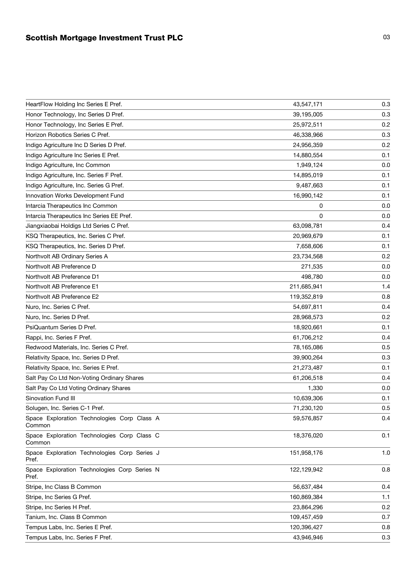## Scottish Mortgage Investment Trust PLC **CONTROLLER 103** 03

| HeartFlow Holding Inc Series E Pref.                  | 43,547,171  | 0.3 |
|-------------------------------------------------------|-------------|-----|
| Honor Technology, Inc Series D Pref.                  | 39,195,005  | 0.3 |
| Honor Technology, Inc Series E Pref.                  | 25,972,511  | 0.2 |
| Horizon Robotics Series C Pref.                       | 46,338,966  | 0.3 |
| Indigo Agriculture Inc D Series D Pref.               | 24,956,359  | 0.2 |
| Indigo Agriculture Inc Series E Pref.                 | 14,880,554  | 0.1 |
| Indigo Agriculture, Inc Common                        | 1,949,124   | 0.0 |
| Indigo Agriculture, Inc. Series F Pref.               | 14,895,019  | 0.1 |
| Indigo Agriculture, Inc. Series G Pref.               | 9,487,663   | 0.1 |
| Innovation Works Development Fund                     | 16,990,142  | 0.1 |
| Intarcia Therapeutics Inc Common                      | 0           | 0.0 |
| Intarcia Therapeutics Inc Series EE Pref.             | 0           | 0.0 |
| Jiangxiaobai Holdigs Ltd Series C Pref.               | 63,098,781  | 0.4 |
| KSQ Therapeutics, Inc. Series C Pref.                 | 20,969,679  | 0.1 |
| KSQ Therapeutics, Inc. Series D Pref.                 | 7,658,606   | 0.1 |
| Northvolt AB Ordinary Series A                        | 23,734,568  | 0.2 |
| Northvolt AB Preference D                             | 271,535     | 0.0 |
| Northvolt AB Preference D1                            | 498,780     | 0.0 |
| Northvolt AB Preference E1                            | 211,685,941 | 1.4 |
| Northvolt AB Preference E2                            | 119,352,819 | 0.8 |
| Nuro, Inc. Series C Pref.                             | 54,697,811  | 0.4 |
| Nuro, Inc. Series D Pref.                             | 28,968,573  | 0.2 |
| PsiQuantum Series D Pref.                             | 18,920,661  | 0.1 |
| Rappi, Inc. Series F Pref.                            | 61,706,212  | 0.4 |
| Redwood Materials, Inc. Series C Pref.                | 78,165,086  | 0.5 |
| Relativity Space, Inc. Series D Pref.                 | 39,900,264  | 0.3 |
| Relativity Space, Inc. Series E Pref.                 | 21,273,487  | 0.1 |
| Salt Pay Co Ltd Non-Voting Ordinary Shares            | 61,206,518  | 0.4 |
| Salt Pay Co Ltd Voting Ordinary Shares                | 1,330       | 0.0 |
| Sinovation Fund III                                   | 10,639,306  | 0.1 |
| Solugen, Inc. Series C-1 Pref.                        | 71,230,120  | 0.5 |
| Space Exploration Technologies Corp Class A<br>Common | 59,576,857  | 0.4 |
| Space Exploration Technologies Corp Class C<br>Common | 18,376,020  | 0.1 |
| Space Exploration Technologies Corp Series J<br>Pref. | 151,958,176 | 1.0 |
| Space Exploration Technologies Corp Series N<br>Pref. | 122,129,942 | 0.8 |
| Stripe, Inc Class B Common                            | 56,637,484  | 0.4 |
| Stripe, Inc Series G Pref.                            | 160,869,384 | 1.1 |
| Stripe, Inc Series H Pref.                            | 23,864,296  | 0.2 |
| Tanium, Inc. Class B Common                           | 109,457,459 | 0.7 |
| Tempus Labs, Inc. Series E Pref.                      | 120,396,427 | 0.8 |
| Tempus Labs, Inc. Series F Pref.                      | 43,946,946  | 0.3 |